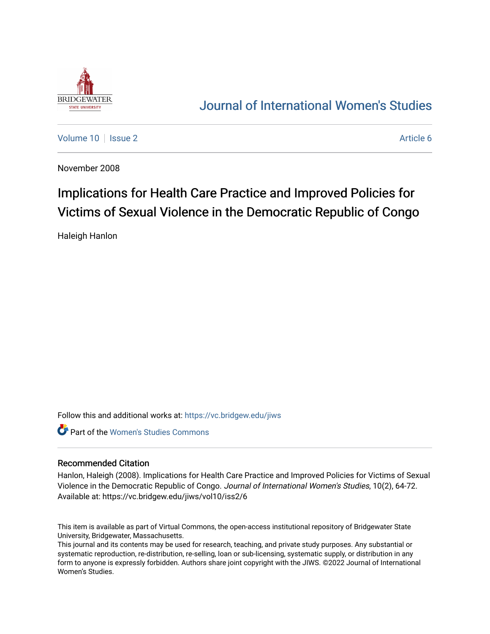

## [Journal of International Women's Studies](https://vc.bridgew.edu/jiws)

[Volume 10](https://vc.bridgew.edu/jiws/vol10) | [Issue 2](https://vc.bridgew.edu/jiws/vol10/iss2) Article 6

November 2008

# Implications for Health Care Practice and Improved Policies for Victims of Sexual Violence in the Democratic Republic of Congo

Haleigh Hanlon

Follow this and additional works at: [https://vc.bridgew.edu/jiws](https://vc.bridgew.edu/jiws?utm_source=vc.bridgew.edu%2Fjiws%2Fvol10%2Fiss2%2F6&utm_medium=PDF&utm_campaign=PDFCoverPages)

**C** Part of the Women's Studies Commons

#### Recommended Citation

Hanlon, Haleigh (2008). Implications for Health Care Practice and Improved Policies for Victims of Sexual Violence in the Democratic Republic of Congo. Journal of International Women's Studies, 10(2), 64-72. Available at: https://vc.bridgew.edu/jiws/vol10/iss2/6

This item is available as part of Virtual Commons, the open-access institutional repository of Bridgewater State University, Bridgewater, Massachusetts.

This journal and its contents may be used for research, teaching, and private study purposes. Any substantial or systematic reproduction, re-distribution, re-selling, loan or sub-licensing, systematic supply, or distribution in any form to anyone is expressly forbidden. Authors share joint copyright with the JIWS. ©2022 Journal of International Women's Studies.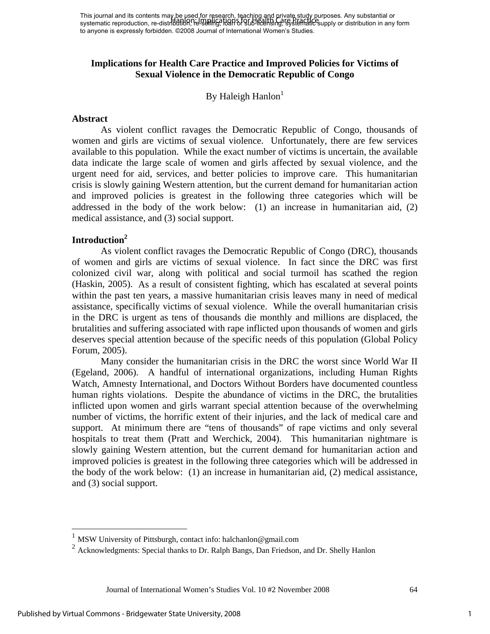## **Implications for Health Care Practice and Improved Policies for Victims of Sexual Violence in the Democratic Republic of Congo**

By Haleigh Hanlon $<sup>1</sup>$ </sup>

#### **Abstract**

 As violent conflict ravages the Democratic Republic of Congo, thousands of women and girls are victims of sexual violence. Unfortunately, there are few services available to this population. While the exact number of victims is uncertain, the available data indicate the large scale of women and girls affected by sexual violence, and the urgent need for aid, services, and better policies to improve care. This humanitarian crisis is slowly gaining Western attention, but the current demand for humanitarian action and improved policies is greatest in the following three categories which will be addressed in the body of the work below: (1) an increase in humanitarian aid, (2) medical assistance, and (3) social support.

#### **Introduction2**

 As violent conflict ravages the Democratic Republic of Congo (DRC), thousands of women and girls are victims of sexual violence. In fact since the DRC was first colonized civil war, along with political and social turmoil has scathed the region (Haskin, 2005). As a result of consistent fighting, which has escalated at several points within the past ten years, a massive humanitarian crisis leaves many in need of medical assistance, specifically victims of sexual violence. While the overall humanitarian crisis in the DRC is urgent as tens of thousands die monthly and millions are displaced, the brutalities and suffering associated with rape inflicted upon thousands of women and girls deserves special attention because of the specific needs of this population (Global Policy Forum, 2005).

 Many consider the humanitarian crisis in the DRC the worst since World War II (Egeland, 2006). A handful of international organizations, including Human Rights Watch, Amnesty International, and Doctors Without Borders have documented countless human rights violations. Despite the abundance of victims in the DRC, the brutalities inflicted upon women and girls warrant special attention because of the overwhelming number of victims, the horrific extent of their injuries, and the lack of medical care and support. At minimum there are "tens of thousands" of rape victims and only several hospitals to treat them (Pratt and Werchick, 2004). This humanitarian nightmare is slowly gaining Western attention, but the current demand for humanitarian action and improved policies is greatest in the following three categories which will be addressed in the body of the work below: (1) an increase in humanitarian aid, (2) medical assistance, and (3) social support.

Journal of International Women's Studies Vol. 10 #2 November 2008 64

1

1

<sup>1</sup> MSW University of Pittsburgh, contact info: halchanlon@gmail.com

<sup>&</sup>lt;sup>2</sup> Acknowledgments: Special thanks to Dr. Ralph Bangs, Dan Friedson, and Dr. Shelly Hanlon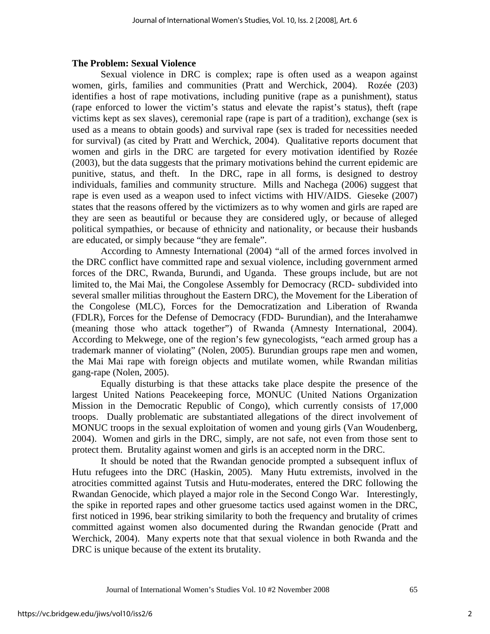#### **The Problem: Sexual Violence**

 Sexual violence in DRC is complex; rape is often used as a weapon against women, girls, families and communities (Pratt and Werchick, 2004). Rozée (203) identifies a host of rape motivations, including punitive (rape as a punishment), status (rape enforced to lower the victim's status and elevate the rapist's status), theft (rape victims kept as sex slaves), ceremonial rape (rape is part of a tradition), exchange (sex is used as a means to obtain goods) and survival rape (sex is traded for necessities needed for survival) (as cited by Pratt and Werchick, 2004). Qualitative reports document that women and girls in the DRC are targeted for every motivation identified by Rozée (2003), but the data suggests that the primary motivations behind the current epidemic are punitive, status, and theft. In the DRC, rape in all forms, is designed to destroy individuals, families and community structure. Mills and Nachega (2006) suggest that rape is even used as a weapon used to infect victims with HIV/AIDS. Gieseke (2007) states that the reasons offered by the victimizers as to why women and girls are raped are they are seen as beautiful or because they are considered ugly, or because of alleged political sympathies, or because of ethnicity and nationality, or because their husbands are educated, or simply because "they are female".

 According to Amnesty International (2004) "all of the armed forces involved in the DRC conflict have committed rape and sexual violence, including government armed forces of the DRC, Rwanda, Burundi, and Uganda. These groups include, but are not limited to, the Mai Mai, the Congolese Assembly for Democracy (RCD- subdivided into several smaller militias throughout the Eastern DRC), the Movement for the Liberation of the Congolese (MLC), Forces for the Democratization and Liberation of Rwanda (FDLR), Forces for the Defense of Democracy (FDD- Burundian), and the Interahamwe (meaning those who attack together") of Rwanda (Amnesty International, 2004). According to Mekwege, one of the region's few gynecologists, "each armed group has a trademark manner of violating" (Nolen, 2005). Burundian groups rape men and women, the Mai Mai rape with foreign objects and mutilate women, while Rwandan militias gang-rape (Nolen, 2005).

 Equally disturbing is that these attacks take place despite the presence of the largest United Nations Peacekeeping force, MONUC (United Nations Organization Mission in the Democratic Republic of Congo), which currently consists of 17,000 troops. Dually problematic are substantiated allegations of the direct involvement of MONUC troops in the sexual exploitation of women and young girls (Van Woudenberg, 2004). Women and girls in the DRC, simply, are not safe, not even from those sent to protect them. Brutality against women and girls is an accepted norm in the DRC.

 It should be noted that the Rwandan genocide prompted a subsequent influx of Hutu refugees into the DRC (Haskin, 2005). Many Hutu extremists, involved in the atrocities committed against Tutsis and Hutu-moderates, entered the DRC following the Rwandan Genocide, which played a major role in the Second Congo War. Interestingly, the spike in reported rapes and other gruesome tactics used against women in the DRC, first noticed in 1996, bear striking similarity to both the frequency and brutality of crimes committed against women also documented during the Rwandan genocide (Pratt and Werchick, 2004). Many experts note that that sexual violence in both Rwanda and the DRC is unique because of the extent its brutality.

Journal of International Women's Studies Vol. 10 #2 November 2008 65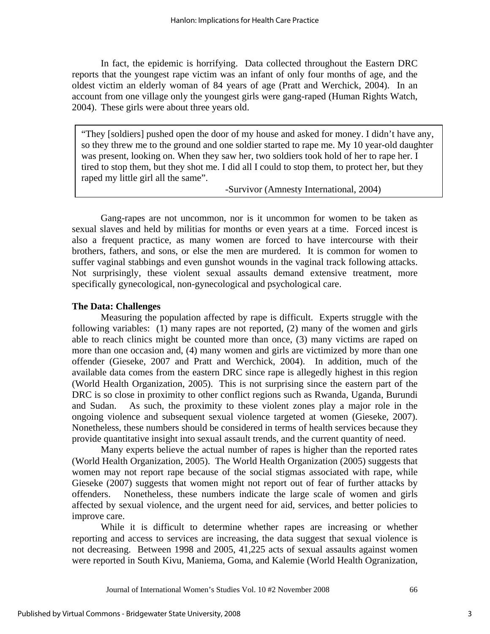In fact, the epidemic is horrifying. Data collected throughout the Eastern DRC reports that the youngest rape victim was an infant of only four months of age, and the oldest victim an elderly woman of 84 years of age (Pratt and Werchick, 2004). In an account from one village only the youngest girls were gang-raped (Human Rights Watch, 2004). These girls were about three years old.

to stop them, out they shot me. I did an I could to stop them, to protect her, ou "They [soldiers] pushed open the door of my house and asked for money. I didn't have any, so they threw me to the ground and one soldier started to rape me. My 10 year-old daughter was present, looking on. When they saw her, two soldiers took hold of her to rape her. I tired to stop them, but they shot me. I did all I could to stop them, to protect her, but they raped my little girl all the same".

-Survivor (Amnesty International, 2004)

Gang-rapes are not uncommon, nor is it uncommon for women to be taken as sexual slaves and held by militias for months or even years at a time. Forced incest is also a frequent practice, as many women are forced to have intercourse with their brothers, fathers, and sons, or else the men are murdered. It is common for women to suffer vaginal stabbings and even gunshot wounds in the vaginal track following attacks. Not surprisingly, these violent sexual assaults demand extensive treatment, more specifically gynecological, non-gynecological and psychological care.

## **The Data: Challenges**

 Measuring the population affected by rape is difficult. Experts struggle with the following variables: (1) many rapes are not reported, (2) many of the women and girls able to reach clinics might be counted more than once, (3) many victims are raped on more than one occasion and, (4) many women and girls are victimized by more than one offender (Gieseke, 2007 and Pratt and Werchick, 2004). In addition, much of the available data comes from the eastern DRC since rape is allegedly highest in this region (World Health Organization, 2005). This is not surprising since the eastern part of the DRC is so close in proximity to other conflict regions such as Rwanda, Uganda, Burundi and Sudan. As such, the proximity to these violent zones play a major role in the ongoing violence and subsequent sexual violence targeted at women (Gieseke, 2007). Nonetheless, these numbers should be considered in terms of health services because they provide quantitative insight into sexual assault trends, and the current quantity of need.

 Many experts believe the actual number of rapes is higher than the reported rates (World Health Organization, 2005). The World Health Organization (2005) suggests that women may not report rape because of the social stigmas associated with rape, while Gieseke (2007) suggests that women might not report out of fear of further attacks by offenders. Nonetheless, these numbers indicate the large scale of women and girls affected by sexual violence, and the urgent need for aid, services, and better policies to improve care.

 While it is difficult to determine whether rapes are increasing or whether reporting and access to services are increasing, the data suggest that sexual violence is not decreasing. Between 1998 and 2005, 41,225 acts of sexual assaults against women were reported in South Kivu, Maniema, Goma, and Kalemie (World Health Ogranization,

Journal of International Women's Studies Vol. 10 #2 November 2008 66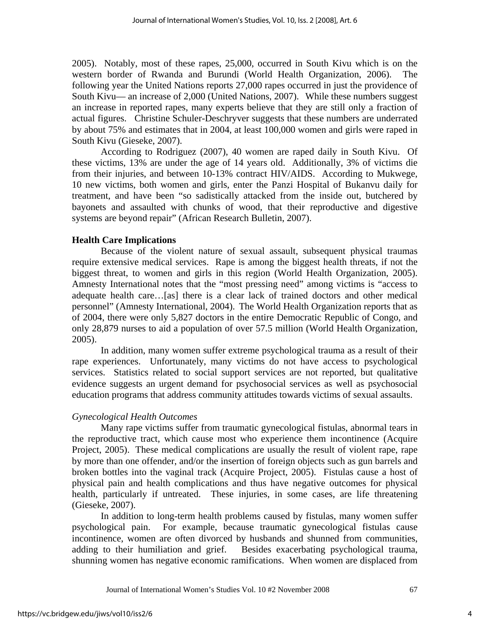2005). Notably, most of these rapes, 25,000, occurred in South Kivu which is on the western border of Rwanda and Burundi (World Health Organization, 2006). The following year the United Nations reports 27,000 rapes occurred in just the providence of South Kivu— an increase of 2,000 (United Nations, 2007). While these numbers suggest an increase in reported rapes, many experts believe that they are still only a fraction of actual figures. Christine Schuler-Deschryver suggests that these numbers are underrated by about 75% and estimates that in 2004, at least 100,000 women and girls were raped in South Kivu (Gieseke, 2007).

 According to Rodriguez (2007), 40 women are raped daily in South Kivu. Of these victims, 13% are under the age of 14 years old. Additionally, 3% of victims die from their injuries, and between 10-13% contract HIV/AIDS. According to Mukwege, 10 new victims, both women and girls, enter the Panzi Hospital of Bukanvu daily for treatment, and have been "so sadistically attacked from the inside out, butchered by bayonets and assaulted with chunks of wood, that their reproductive and digestive systems are beyond repair" (African Research Bulletin, 2007).

## **Health Care Implications**

 Because of the violent nature of sexual assault, subsequent physical traumas require extensive medical services. Rape is among the biggest health threats, if not the biggest threat, to women and girls in this region (World Health Organization, 2005). Amnesty International notes that the "most pressing need" among victims is "access to adequate health care…[as] there is a clear lack of trained doctors and other medical personnel" (Amnesty International, 2004). The World Health Organization reports that as of 2004, there were only 5,827 doctors in the entire Democratic Republic of Congo, and only 28,879 nurses to aid a population of over 57.5 million (World Health Organization, 2005).

 In addition, many women suffer extreme psychological trauma as a result of their rape experiences. Unfortunately, many victims do not have access to psychological services. Statistics related to social support services are not reported, but qualitative evidence suggests an urgent demand for psychosocial services as well as psychosocial education programs that address community attitudes towards victims of sexual assaults.

#### *Gynecological Health Outcomes*

 Many rape victims suffer from traumatic gynecological fistulas, abnormal tears in the reproductive tract, which cause most who experience them incontinence (Acquire Project, 2005). These medical complications are usually the result of violent rape, rape by more than one offender, and/or the insertion of foreign objects such as gun barrels and broken bottles into the vaginal track (Acquire Project, 2005). Fistulas cause a host of physical pain and health complications and thus have negative outcomes for physical health, particularly if untreated. These injuries, in some cases, are life threatening (Gieseke, 2007).

 In addition to long-term health problems caused by fistulas, many women suffer psychological pain. For example, because traumatic gynecological fistulas cause incontinence, women are often divorced by husbands and shunned from communities, adding to their humiliation and grief. Besides exacerbating psychological trauma, shunning women has negative economic ramifications. When women are displaced from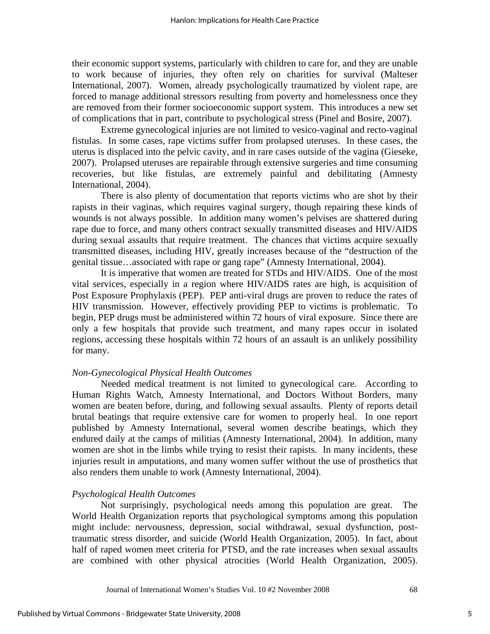their economic support systems, particularly with children to care for, and they are unable to work because of injuries, they often rely on charities for survival (Malteser International, 2007). Women, already psychologically traumatized by violent rape, are forced to manage additional stressors resulting from poverty and homelessness once they are removed from their former socioeconomic support system. This introduces a new set of complications that in part, contribute to psychological stress (Pinel and Bosire, 2007).

 Extreme gynecological injuries are not limited to vesico-vaginal and recto-vaginal fistulas. In some cases, rape victims suffer from prolapsed uteruses. In these cases, the uterus is displaced into the pelvic cavity, and in rare cases outside of the vagina (Gieseke, 2007). Prolapsed uteruses are repairable through extensive surgeries and time consuming recoveries, but like fistulas, are extremely painful and debilitating (Amnesty International, 2004).

 There is also plenty of documentation that reports victims who are shot by their rapists in their vaginas, which requires vaginal surgery, though repairing these kinds of wounds is not always possible. In addition many women's pelvises are shattered during rape due to force, and many others contract sexually transmitted diseases and HIV/AIDS during sexual assaults that require treatment. The chances that victims acquire sexually transmitted diseases, including HIV, greatly increases because of the "destruction of the genital tissue…associated with rape or gang rape" (Amnesty International, 2004).

 It is imperative that women are treated for STDs and HIV/AIDS. One of the most vital services, especially in a region where HIV/AIDS rates are high, is acquisition of Post Exposure Prophylaxis (PEP). PEP anti-viral drugs are proven to reduce the rates of HIV transmission. However, effectively providing PEP to victims is problematic. To begin, PEP drugs must be administered within 72 hours of viral exposure. Since there are only a few hospitals that provide such treatment, and many rapes occur in isolated regions, accessing these hospitals within 72 hours of an assault is an unlikely possibility for many.

## *Non-Gynecological Physical Health Outcomes*

 Needed medical treatment is not limited to gynecological care. According to Human Rights Watch, Amnesty International, and Doctors Without Borders, many women are beaten before, during, and following sexual assaults. Plenty of reports detail brutal beatings that require extensive care for women to properly heal. In one report published by Amnesty International, several women describe beatings, which they endured daily at the camps of militias (Amnesty International, 2004). In addition, many women are shot in the limbs while trying to resist their rapists. In many incidents, these injuries result in amputations, and many women suffer without the use of prosthetics that also renders them unable to work (Amnesty International, 2004).

#### *Psychological Health Outcomes*

 Not surprisingly, psychological needs among this population are great. The World Health Organization reports that psychological symptoms among this population might include: nervousness, depression, social withdrawal, sexual dysfunction, posttraumatic stress disorder, and suicide (World Health Organization, 2005). In fact, about half of raped women meet criteria for PTSD, and the rate increases when sexual assaults are combined with other physical atrocities (World Health Organization, 2005).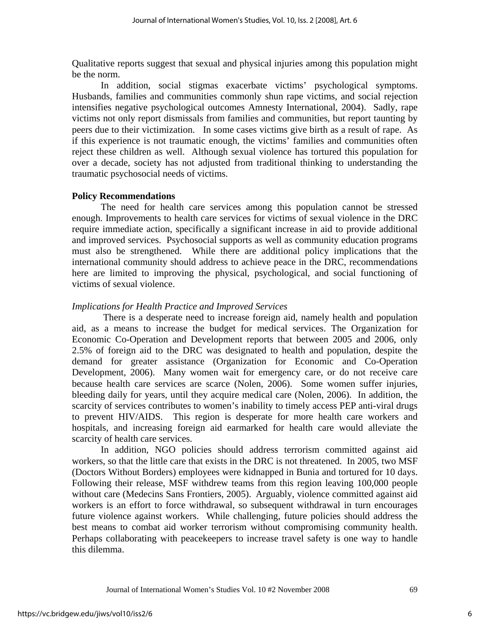Qualitative reports suggest that sexual and physical injuries among this population might be the norm.

 In addition, social stigmas exacerbate victims' psychological symptoms. Husbands, families and communities commonly shun rape victims, and social rejection intensifies negative psychological outcomes Amnesty International, 2004). Sadly, rape victims not only report dismissals from families and communities, but report taunting by peers due to their victimization. In some cases victims give birth as a result of rape. As if this experience is not traumatic enough, the victims' families and communities often reject these children as well. Although sexual violence has tortured this population for over a decade, society has not adjusted from traditional thinking to understanding the traumatic psychosocial needs of victims.

## **Policy Recommendations**

The need for health care services among this population cannot be stressed enough. Improvements to health care services for victims of sexual violence in the DRC require immediate action, specifically a significant increase in aid to provide additional and improved services. Psychosocial supports as well as community education programs must also be strengthened. While there are additional policy implications that the international community should address to achieve peace in the DRC, recommendations here are limited to improving the physical, psychological, and social functioning of victims of sexual violence.

## *Implications for Health Practice and Improved Services*

 There is a desperate need to increase foreign aid, namely health and population aid, as a means to increase the budget for medical services. The Organization for Economic Co-Operation and Development reports that between 2005 and 2006, only 2.5% of foreign aid to the DRC was designated to health and population, despite the demand for greater assistance (Organization for Economic and Co-Operation Development, 2006). Many women wait for emergency care, or do not receive care because health care services are scarce (Nolen, 2006). Some women suffer injuries, bleeding daily for years, until they acquire medical care (Nolen, 2006). In addition, the scarcity of services contributes to women's inability to timely access PEP anti-viral drugs to prevent HIV/AIDS. This region is desperate for more health care workers and hospitals, and increasing foreign aid earmarked for health care would alleviate the scarcity of health care services.

 In addition, NGO policies should address terrorism committed against aid workers, so that the little care that exists in the DRC is not threatened. In 2005, two MSF (Doctors Without Borders) employees were kidnapped in Bunia and tortured for 10 days. Following their release, MSF withdrew teams from this region leaving 100,000 people without care (Medecins Sans Frontiers, 2005). Arguably, violence committed against aid workers is an effort to force withdrawal, so subsequent withdrawal in turn encourages future violence against workers. While challenging, future policies should address the best means to combat aid worker terrorism without compromising community health. Perhaps collaborating with peacekeepers to increase travel safety is one way to handle this dilemma.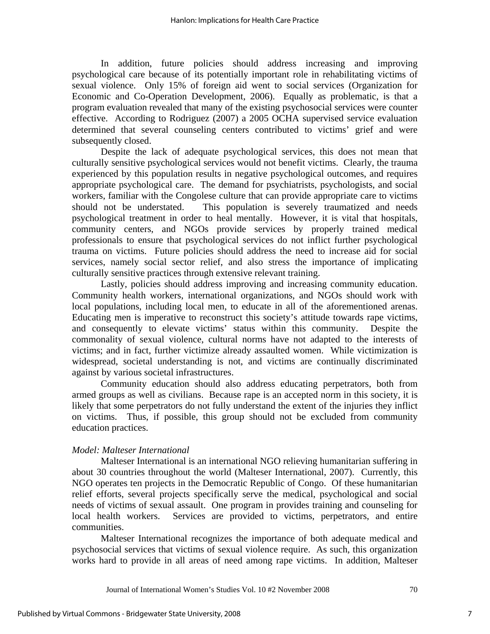In addition, future policies should address increasing and improving psychological care because of its potentially important role in rehabilitating victims of sexual violence. Only 15% of foreign aid went to social services (Organization for Economic and Co-Operation Development, 2006). Equally as problematic, is that a program evaluation revealed that many of the existing psychosocial services were counter effective. According to Rodriguez (2007) a 2005 OCHA supervised service evaluation determined that several counseling centers contributed to victims' grief and were subsequently closed.

 Despite the lack of adequate psychological services, this does not mean that culturally sensitive psychological services would not benefit victims. Clearly, the trauma experienced by this population results in negative psychological outcomes, and requires appropriate psychological care. The demand for psychiatrists, psychologists, and social workers, familiar with the Congolese culture that can provide appropriate care to victims should not be understated. This population is severely traumatized and needs psychological treatment in order to heal mentally. However, it is vital that hospitals, community centers, and NGOs provide services by properly trained medical professionals to ensure that psychological services do not inflict further psychological trauma on victims. Future policies should address the need to increase aid for social services, namely social sector relief, and also stress the importance of implicating culturally sensitive practices through extensive relevant training.

 Lastly, policies should address improving and increasing community education. Community health workers, international organizations, and NGOs should work with local populations, including local men, to educate in all of the aforementioned arenas. Educating men is imperative to reconstruct this society's attitude towards rape victims, and consequently to elevate victims' status within this community. Despite the commonality of sexual violence, cultural norms have not adapted to the interests of victims; and in fact, further victimize already assaulted women. While victimization is widespread, societal understanding is not, and victims are continually discriminated against by various societal infrastructures.

 Community education should also address educating perpetrators, both from armed groups as well as civilians. Because rape is an accepted norm in this society, it is likely that some perpetrators do not fully understand the extent of the injuries they inflict on victims. Thus, if possible, this group should not be excluded from community education practices.

## *Model: Malteser International*

 Malteser International is an international NGO relieving humanitarian suffering in about 30 countries throughout the world (Malteser International, 2007). Currently, this NGO operates ten projects in the Democratic Republic of Congo. Of these humanitarian relief efforts, several projects specifically serve the medical, psychological and social needs of victims of sexual assault. One program in provides training and counseling for local health workers. Services are provided to victims, perpetrators, and entire communities.

 Malteser International recognizes the importance of both adequate medical and psychosocial services that victims of sexual violence require. As such, this organization works hard to provide in all areas of need among rape victims. In addition, Malteser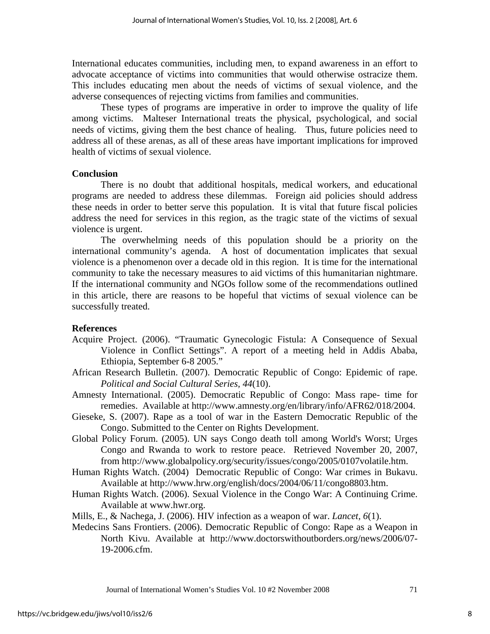International educates communities, including men, to expand awareness in an effort to advocate acceptance of victims into communities that would otherwise ostracize them. This includes educating men about the needs of victims of sexual violence, and the adverse consequences of rejecting victims from families and communities.

 These types of programs are imperative in order to improve the quality of life among victims. Malteser International treats the physical, psychological, and social needs of victims, giving them the best chance of healing. Thus, future policies need to address all of these arenas, as all of these areas have important implications for improved health of victims of sexual violence.

#### **Conclusion**

 There is no doubt that additional hospitals, medical workers, and educational programs are needed to address these dilemmas. Foreign aid policies should address these needs in order to better serve this population. It is vital that future fiscal policies address the need for services in this region, as the tragic state of the victims of sexual violence is urgent.

 The overwhelming needs of this population should be a priority on the international community's agenda. A host of documentation implicates that sexual violence is a phenomenon over a decade old in this region. It is time for the international community to take the necessary measures to aid victims of this humanitarian nightmare. If the international community and NGOs follow some of the recommendations outlined in this article, there are reasons to be hopeful that victims of sexual violence can be successfully treated.

#### **References**

- Acquire Project. (2006). "Traumatic Gynecologic Fistula: A Consequence of Sexual Violence in Conflict Settings". A report of a meeting held in Addis Ababa, Ethiopia, September 6-8 2005."
- African Research Bulletin. (2007). Democratic Republic of Congo: Epidemic of rape. *Political and Social Cultural Series, 44*(10).
- Amnesty International. (2005). Democratic Republic of Congo: Mass rape- time for remedies. Available at http://www.amnesty.org/en/library/info/AFR62/018/2004.
- Gieseke, S. (2007). Rape as a tool of war in the Eastern Democratic Republic of the Congo. Submitted to the Center on Rights Development.
- Global Policy Forum. (2005). UN says Congo death toll among World's Worst; Urges Congo and Rwanda to work to restore peace. Retrieved November 20, 2007, from http://www.globalpolicy.org/security/issues/congo/2005/0107volatile.htm.
- Human Rights Watch. (2004) Democratic Republic of Congo: War crimes in Bukavu. Available at http://www.hrw.org/english/docs/2004/06/11/congo8803.htm.
- Human Rights Watch. (2006). Sexual Violence in the Congo War: A Continuing Crime. Available at www.hwr.org.
- Mills, E., & Nachega, J. (2006). HIV infection as a weapon of war. *Lancet, 6*(1).
- Medecins Sans Frontiers. (2006). Democratic Republic of Congo: Rape as a Weapon in North Kivu. Available at http://www.doctorswithoutborders.org/news/2006/07- 19-2006.cfm.